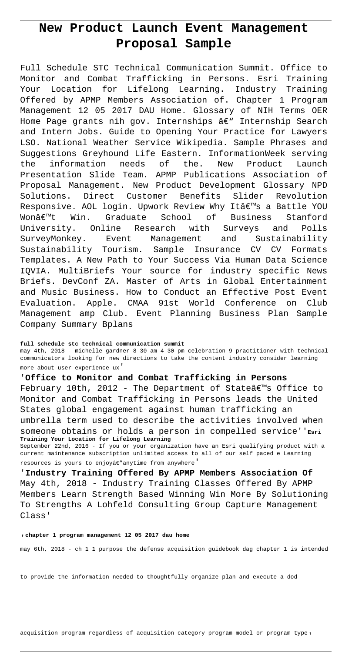# **New Product Launch Event Management Proposal Sample**

Full Schedule STC Technical Communication Summit. Office to Monitor and Combat Trafficking in Persons. Esri Training Your Location for Lifelong Learning. Industry Training Offered by APMP Members Association of. Chapter 1 Program Management 12 05 2017 DAU Home. Glossary of NIH Terms OER Home Page grants nih gov. Internships  $\hat{a} \in \mathbb{N}$  Internship Search and Intern Jobs. Guide to Opening Your Practice for Lawyers LSO. National Weather Service Wikipedia. Sample Phrases and Suggestions Greyhound Life Eastern. InformationWeek serving the information needs of the. New Product Launch Presentation Slide Team. APMP Publications Association of Proposal Management. New Product Development Glossary NPD Solutions. Direct Customer Benefits Slider Revolution Responsive. AOL login. Upwork Review Why It's a Battle YOU Wonâ€<sup>™</sup>t Win. Graduate School of Business Stanford University. Online Research with Surveys and Polls SurveyMonkey. Event Management and Sustainability Sustainability Tourism. Sample Insurance CV CV Formats Templates. A New Path to Your Success Via Human Data Science IQVIA. MultiBriefs Your source for industry specific News Briefs. DevConf ZA. Master of Arts in Global Entertainment and Music Business. How to Conduct an Effective Post Event Evaluation. Apple. CMAA 91st World Conference on Club Management amp Club. Event Planning Business Plan Sample Company Summary Bplans

#### **full schedule stc technical communication summit**

may 4th, 2018 - michelle gardner 8 30 am 4 30 pm celebration 9 practitioner with technical communicators looking for new directions to take the content industry consider learning more about user experience ux'

### '**Office to Monitor and Combat Trafficking in Persons**

February 10th, 2012 - The Department of State $\hat{\mathcal{H}}^{\mathsf{w}}$ s Office to Monitor and Combat Trafficking in Persons leads the United States global engagement against human trafficking an umbrella term used to describe the activities involved when someone obtains or holds a person in compelled service''**Esri Training Your Location for Lifelong Learning**

September 22nd, 2016 - If you or your organization have an Esri qualifying product with a current maintenance subscription unlimited access to all of our self paced e Learning resources is yours to enjoyâ€"anytime from anywhere'

'**Industry Training Offered By APMP Members Association Of** May 4th, 2018 - Industry Training Classes Offered By APMP Members Learn Strength Based Winning Win More By Solutioning To Strengths A Lohfeld Consulting Group Capture Management Class'

#### '**chapter 1 program management 12 05 2017 dau home**

may 6th, 2018 - ch 1 1 purpose the defense acquisition guidebook dag chapter 1 is intended

to provide the information needed to thoughtfully organize plan and execute a dod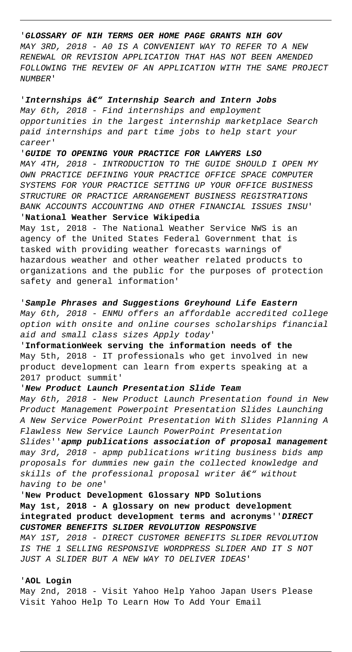### '**GLOSSARY OF NIH TERMS OER HOME PAGE GRANTS NIH GOV**

MAY 3RD, 2018 - A0 IS A CONVENIENT WAY TO REFER TO A NEW RENEWAL OR REVISION APPLICATION THAT HAS NOT BEEN AMENDED FOLLOWING THE REVIEW OF AN APPLICATION WITH THE SAME PROJECT NUMBER'

### 'Internships  $\hat{a}\epsilon$ <sup>"</sup> Internship Search and Intern Jobs

May 6th, 2018 - Find internships and employment opportunities in the largest internship marketplace Search paid internships and part time jobs to help start your career'

'**GUIDE TO OPENING YOUR PRACTICE FOR LAWYERS LSO** MAY 4TH, 2018 - INTRODUCTION TO THE GUIDE SHOULD I OPEN MY OWN PRACTICE DEFINING YOUR PRACTICE OFFICE SPACE COMPUTER SYSTEMS FOR YOUR PRACTICE SETTING UP YOUR OFFICE BUSINESS STRUCTURE OR PRACTICE ARRANGEMENT BUSINESS REGISTRATIONS BANK ACCOUNTS ACCOUNTING AND OTHER FINANCIAL ISSUES INSU' '**National Weather Service Wikipedia**

May 1st, 2018 - The National Weather Service NWS is an agency of the United States Federal Government that is tasked with providing weather forecasts warnings of hazardous weather and other weather related products to organizations and the public for the purposes of protection safety and general information'

# '**Sample Phrases and Suggestions Greyhound Life Eastern** May 6th, 2018 - ENMU offers an affordable accredited college option with onsite and online courses scholarships financial aid and small class sizes Apply today'

'**InformationWeek serving the information needs of the** May 5th, 2018 - IT professionals who get involved in new product development can learn from experts speaking at a 2017 product summit'

# '**New Product Launch Presentation Slide Team**

May 6th, 2018 - New Product Launch Presentation found in New Product Management Powerpoint Presentation Slides Launching A New Service PowerPoint Presentation With Slides Planning A Flawless New Service Launch PowerPoint Presentation Slides''**apmp publications association of proposal management** may 3rd, 2018 - apmp publications writing business bids amp proposals for dummies new gain the collected knowledge and skills of the professional proposal writer  $\hat{a} \in V$ " without having to be one'

# '**New Product Development Glossary NPD Solutions May 1st, 2018 - A glossary on new product development integrated product development terms and acronyms**''**DIRECT CUSTOMER BENEFITS SLIDER REVOLUTION RESPONSIVE**

MAY 1ST, 2018 - DIRECT CUSTOMER BENEFITS SLIDER REVOLUTION IS THE 1 SELLING RESPONSIVE WORDPRESS SLIDER AND IT S NOT JUST A SLIDER BUT A NEW WAY TO DELIVER IDEAS'

## '**AOL Login**

May 2nd, 2018 - Visit Yahoo Help Yahoo Japan Users Please Visit Yahoo Help To Learn How To Add Your Email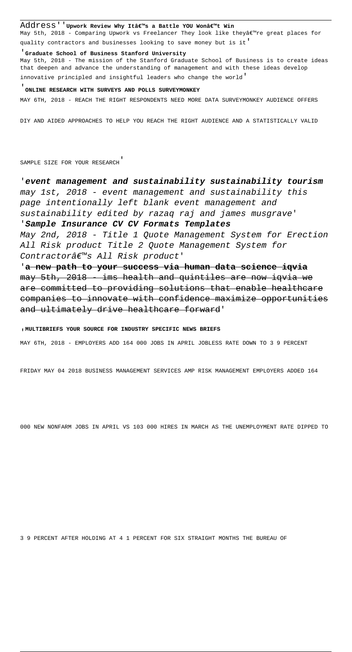### Address' 'Upwork Review Why Itâ€<sup>m</sup>s a Battle YOU Wonâ€<sup>m</sup>t Win

May 5th, 2018 - Comparing Upwork vs Freelancer They look like theyâe re great places for quality contractors and businesses looking to save money but is it'

#### '**Graduate School of Business Stanford University**

May 5th, 2018 - The mission of the Stanford Graduate School of Business is to create ideas that deepen and advance the understanding of management and with these ideas develop innovative principled and insightful leaders who change the world'

### '**ONLINE RESEARCH WITH SURVEYS AND POLLS SURVEYMONKEY**

MAY 6TH, 2018 - REACH THE RIGHT RESPONDENTS NEED MORE DATA SURVEYMONKEY AUDIENCE OFFERS

DIY AND AIDED APPROACHES TO HELP YOU REACH THE RIGHT AUDIENCE AND A STATISTICALLY VALID

SAMPLE SIZE FOR YOUR RESEARCH'

# '**event management and sustainability sustainability tourism** may 1st, 2018 - event management and sustainability this page intentionally left blank event management and sustainability edited by razaq raj and james musgrave'

'**Sample Insurance CV CV Formats Templates**

May 2nd, 2018 - Title 1 Quote Management System for Erection All Risk product Title 2 Quote Management System for Contractor's All Risk product'

'**a new path to your success via human data science iqvia** may 5th, 2018 - ims health and quintiles are now iqvia we are committed to providing solutions that enable healthcare companies to innovate with confidence maximize opportunities and ultimately drive healthcare forward'

#### '**MULTIBRIEFS YOUR SOURCE FOR INDUSTRY SPECIFIC NEWS BRIEFS**

MAY 6TH, 2018 - EMPLOYERS ADD 164 000 JOBS IN APRIL JOBLESS RATE DOWN TO 3 9 PERCENT

FRIDAY MAY 04 2018 BUSINESS MANAGEMENT SERVICES AMP RISK MANAGEMENT EMPLOYERS ADDED 164

000 NEW NONFARM JOBS IN APRIL VS 103 000 HIRES IN MARCH AS THE UNEMPLOYMENT RATE DIPPED TO

3 9 PERCENT AFTER HOLDING AT 4 1 PERCENT FOR SIX STRAIGHT MONTHS THE BUREAU OF